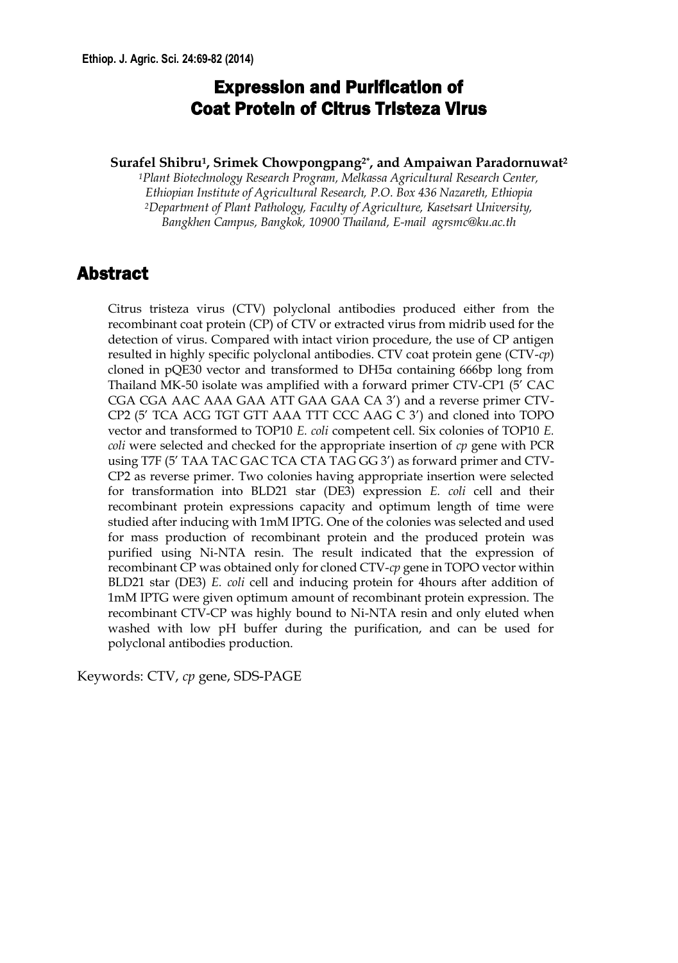## Expression and Purification of Coat Protein of Citrus Tristeza Virus

#### **Surafel Shibru1, Srimek Chowpongpang2\*, and Ampaiwan Paradornuwat2**

*1Plant Biotechnology Research Program, Melkassa Agricultural Research Center, Ethiopian Institute of Agricultural Research, P.O. Box 436 Nazareth, Ethiopia 2Department of Plant Pathology, Faculty of Agriculture, Kasetsart University, Bangkhen Campus, Bangkok, 10900 Thailand, E-mail agrsmc@ku.ac.th* 

### Abstract

Citrus tristeza virus (CTV) polyclonal antibodies produced either from the recombinant coat protein (CP) of CTV or extracted virus from midrib used for the detection of virus. Compared with intact virion procedure, the use of CP antigen resulted in highly specific polyclonal antibodies. CTV coat protein gene (CTV-*cp*) cloned in pQE30 vector and transformed to DH5α containing 666bp long from Thailand MK-50 isolate was amplified with a forward primer CTV-CP1 (5' CAC CGA CGA AAC AAA GAA ATT GAA GAA CA 3') and a reverse primer CTV-CP2 (5' TCA ACG TGT GTT AAA TTT CCC AAG C 3') and cloned into TOPO vector and transformed to TOP10 *E. coli* competent cell. Six colonies of TOP10 *E. coli* were selected and checked for the appropriate insertion of *cp* gene with PCR using T7F (5' TAA TAC GAC TCA CTA TAG GG 3') as forward primer and CTV-CP2 as reverse primer. Two colonies having appropriate insertion were selected for transformation into BLD21 star (DE3) expression *E. coli* cell and their recombinant protein expressions capacity and optimum length of time were studied after inducing with 1mM IPTG. One of the colonies was selected and used for mass production of recombinant protein and the produced protein was purified using Ni-NTA resin. The result indicated that the expression of recombinant CP was obtained only for cloned CTV-*cp* gene in TOPO vector within BLD21 star (DE3) *E. coli* cell and inducing protein for 4hours after addition of 1mM IPTG were given optimum amount of recombinant protein expression. The recombinant CTV-CP was highly bound to Ni-NTA resin and only eluted when washed with low pH buffer during the purification, and can be used for polyclonal antibodies production.

Keywords: CTV, *cp* gene, SDS-PAGE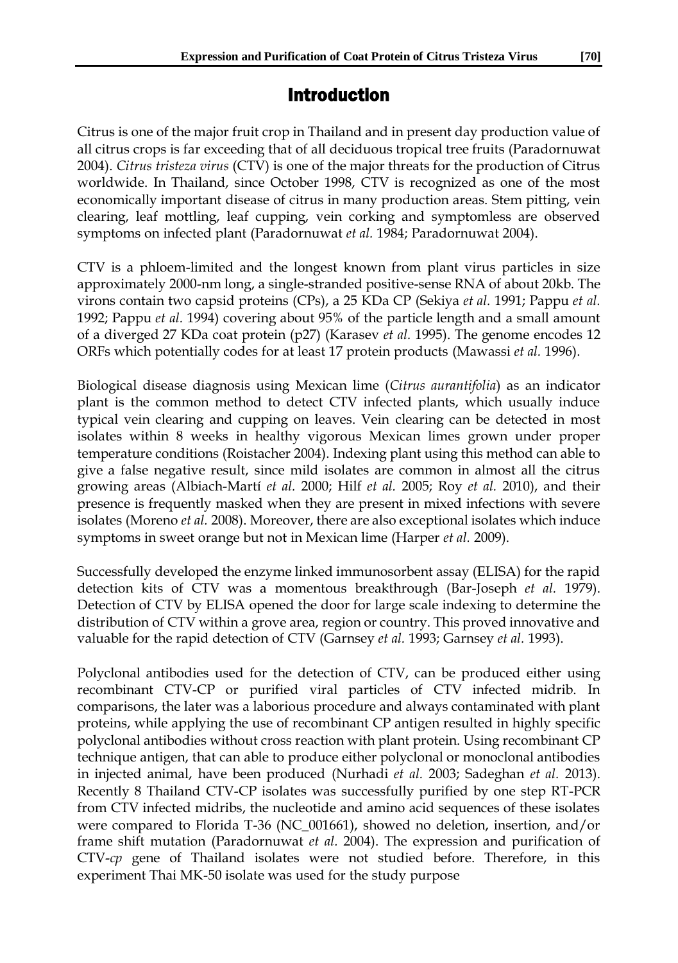### Introduction

Citrus is one of the major fruit crop in Thailand and in present day production value of all citrus crops is far exceeding that of all deciduous tropical tree fruits (Paradornuwat 2004). *Citrus tristeza virus* (CTV) is one of the major threats for the production of Citrus worldwide. In Thailand, since October 1998, CTV is recognized as one of the most economically important disease of citrus in many production areas. Stem pitting, vein clearing, leaf mottling, leaf cupping, vein corking and symptomless are observed symptoms on infected plant (Paradornuwat *et al.* 1984; Paradornuwat 2004).

CTV is a phloem-limited and the longest known from plant virus particles in size approximately 2000-nm long, a single-stranded positive-sense RNA of about 20kb. The virons contain two capsid proteins (CPs), a 25 KDa CP (Sekiya *et al.* 1991; Pappu *et al.* 1992; Pappu *et al.* 1994) covering about 95% of the particle length and a small amount of a diverged 27 KDa coat protein (p27) (Karasev *et al.* 1995). The genome encodes 12 ORFs which potentially codes for at least 17 protein products (Mawassi *et al.* 1996).

Biological disease diagnosis using Mexican lime (*Citrus aurantifolia*) as an indicator plant is the common method to detect CTV infected plants, which usually induce typical vein clearing and cupping on leaves. Vein clearing can be detected in most isolates within 8 weeks in healthy vigorous Mexican limes grown under proper temperature conditions (Roistacher 2004). Indexing plant using this method can able to give a false negative result, since mild isolates are common in almost all the citrus growing areas (Albiach-Martí *et al.* 2000; Hilf *et al.* 2005; Roy *et al.* 2010), and their presence is frequently masked when they are present in mixed infections with severe isolates (Moreno *et al.* 2008). Moreover, there are also exceptional isolates which induce symptoms in sweet orange but not in Mexican lime (Harper *et al.* 2009).

Successfully developed the enzyme linked immunosorbent assay (ELISA) for the rapid detection kits of CTV was a momentous breakthrough (Bar-Joseph *et al.* 1979). Detection of CTV by ELISA opened the door for large scale indexing to determine the distribution of CTV within a grove area, region or country. This proved innovative and valuable for the rapid detection of CTV (Garnsey *et al.* 1993; Garnsey *et al.* 1993).

Polyclonal antibodies used for the detection of CTV, can be produced either using recombinant CTV-CP or purified viral particles of CTV infected midrib. In comparisons, the later was a laborious procedure and always contaminated with plant proteins, while applying the use of recombinant CP antigen resulted in highly specific polyclonal antibodies without cross reaction with plant protein. Using recombinant CP technique antigen, that can able to produce either polyclonal or monoclonal antibodies in injected animal, have been produced (Nurhadi *et al.* 2003; Sadeghan *et al.* 2013). Recently 8 Thailand CTV-CP isolates was successfully purified by one step RT-PCR from CTV infected midribs, the nucleotide and amino acid sequences of these isolates were compared to Florida T-36 (NC\_001661), showed no deletion, insertion, and/or frame shift mutation (Paradornuwat *et al.* 2004). The expression and purification of CTV-*cp* gene of Thailand isolates were not studied before. Therefore, in this experiment Thai MK-50 isolate was used for the study purpose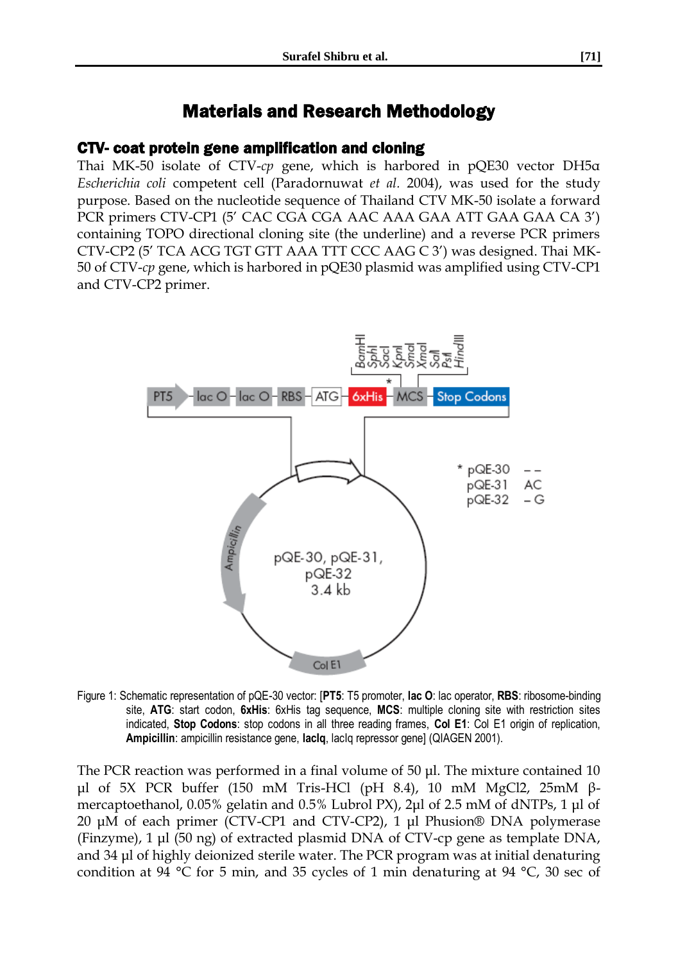# Materials and Research Methodology

#### CTV- coat protein gene amplification and cloning

Thai MK-50 isolate of CTV-*cp* gene, which is harbored in pQE30 vector DH5α *Escherichia coli* competent cell (Paradornuwat *et al.* 2004), was used for the study purpose. Based on the nucleotide sequence of Thailand CTV MK-50 isolate a forward PCR primers CTV-CP1 (5' CAC CGA CGA AAC AAA GAA ATT GAA GAA CA 3') containing TOPO directional cloning site (the underline) and a reverse PCR primers CTV-CP2 (5' TCA ACG TGT GTT AAA TTT CCC AAG C 3') was designed. Thai MK-50 of CTV-*cp* gene, which is harbored in pQE30 plasmid was amplified using CTV-CP1 and CTV-CP2 primer.



Figure 1: Schematic representation of pQE-30 vector: [**PT5**: T5 promoter, **lac O**: lac operator, **RBS**: ribosome-binding site, **ATG**: start codon, **6xHis**: 6xHis tag sequence, **MCS**: multiple cloning site with restriction sites indicated, **Stop Codons**: stop codons in all three reading frames, **Col E1**: Col E1 origin of replication, **Ampicillin**: ampicillin resistance gene, **lacIq**, lacIq repressor gene] (QIAGEN 2001).

The PCR reaction was performed in a final volume of 50 μl. The mixture contained 10 μl of 5X PCR buffer (150 mM Tris-HCl (pH 8.4), 10 mM MgCl2, 25mM βmercaptoethanol, 0.05% gelatin and 0.5% Lubrol PX), 2μl of 2.5 mM of dNTPs, 1 μl of 20 μM of each primer (CTV-CP1 and CTV-CP2), 1 μl Phusion® DNA polymerase (Finzyme), 1 μl (50 ng) of extracted plasmid DNA of CTV-cp gene as template DNA, and 34 μl of highly deionized sterile water. The PCR program was at initial denaturing condition at 94 °C for 5 min, and 35 cycles of 1 min denaturing at 94 °C, 30 sec of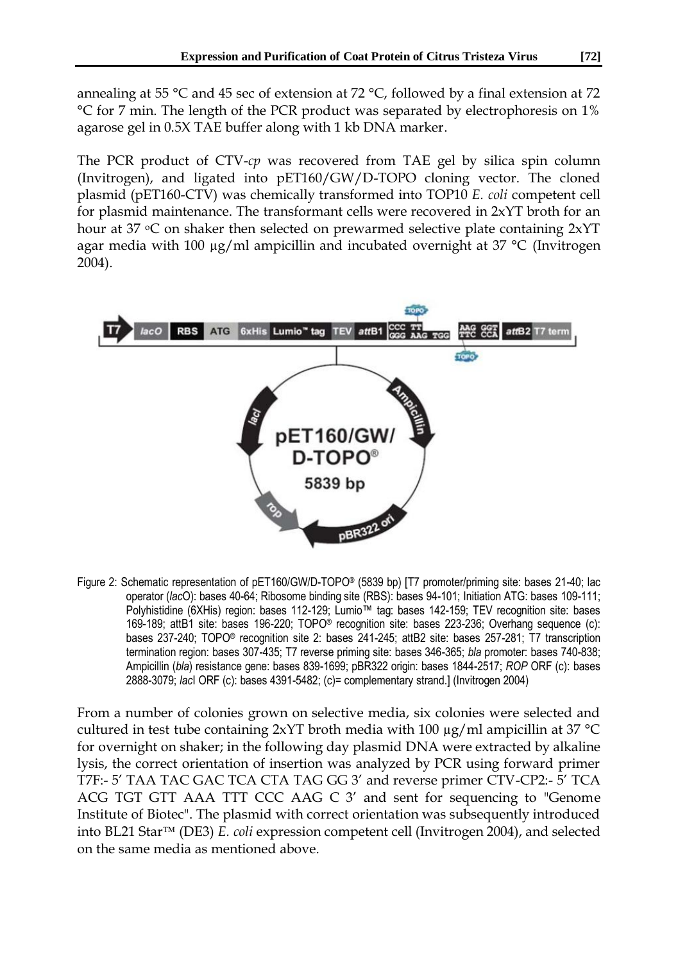annealing at 55 °C and 45 sec of extension at 72 °C, followed by a final extension at 72 °C for 7 min. The length of the PCR product was separated by electrophoresis on 1% agarose gel in 0.5X TAE buffer along with 1 kb DNA marker.

The PCR product of CTV-*cp* was recovered from TAE gel by silica spin column (Invitrogen), and ligated into pET160/GW/D-TOPO cloning vector. The cloned plasmid (pET160-CTV) was chemically transformed into TOP10 *E. coli* competent cell for plasmid maintenance. The transformant cells were recovered in 2xYT broth for an hour at 37  $\degree$ C on shaker then selected on prewarmed selective plate containing  $2xYT$ agar media with 100  $\mu$ g/ml ampicillin and incubated overnight at 37 °C (Invitrogen 2004).



Figure 2: Schematic representation of pET160/GW/D-TOPO® (5839 bp) [T7 promoter/priming site: bases 21-40; lac operator (*lac*O): bases 40-64; Ribosome binding site (RBS): bases 94-101; Initiation ATG: bases 109-111; Polyhistidine (6XHis) region: bases 112-129; Lumio™ tag: bases 142-159; TEV recognition site: bases 169-189; attB1 site: bases 196-220; TOPO® recognition site: bases 223-236; Overhang sequence (c): bases 237-240; TOPO® recognition site 2: bases 241-245; attB2 site: bases 257-281; T7 transcription termination region: bases 307-435; T7 reverse priming site: bases 346-365; *bla* promoter: bases 740-838; Ampicillin (*bla*) resistance gene: bases 839-1699; pBR322 origin: bases 1844-2517; *ROP* ORF (c): bases 2888-3079; *lac*I ORF (c): bases 4391-5482; (c)= complementary strand.] (Invitrogen 2004)

From a number of colonies grown on selective media, six colonies were selected and cultured in test tube containing 2xYT broth media with 100  $\mu$ g/ml ampicillin at 37 °C for overnight on shaker; in the following day plasmid DNA were extracted by alkaline lysis, the correct orientation of insertion was analyzed by PCR using forward primer T7F:- 5' TAA TAC GAC TCA CTA TAG GG 3' and reverse primer CTV-CP2:- 5' TCA ACG TGT GTT AAA TTT CCC AAG C 3' and sent for sequencing to "Genome Institute of Biotec". The plasmid with correct orientation was subsequently introduced into BL21 Star<sup>™</sup> (DE3) *E. coli* expression competent cell (Invitrogen 2004), and selected on the same media as mentioned above.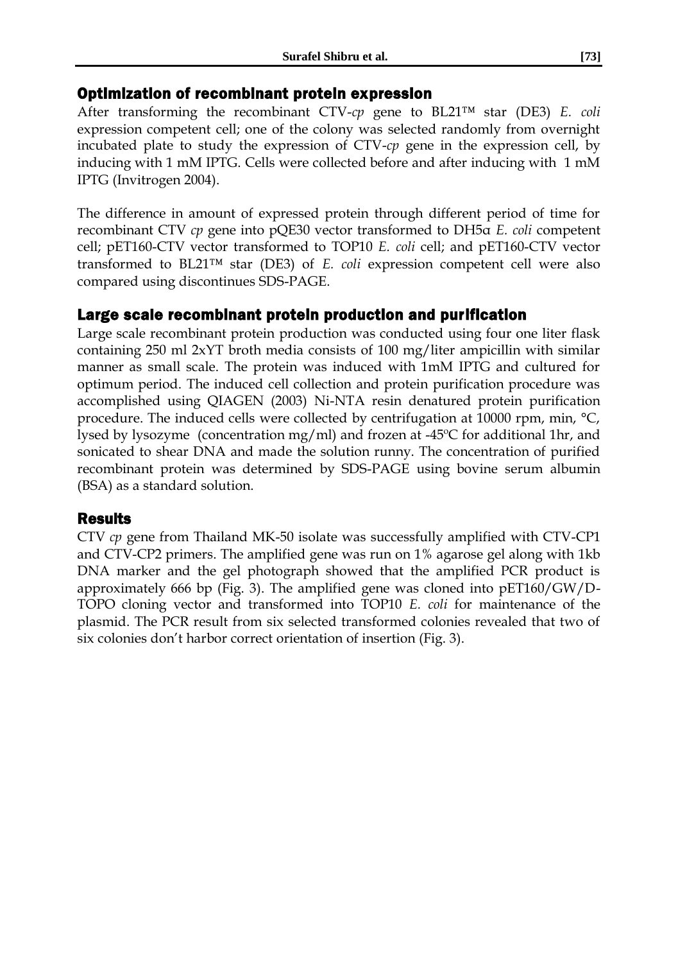#### Optimization of recombinant protein expression

After transforming the recombinant CTV-*cp* gene to BL21™ star (DE3) *E. coli*  expression competent cell; one of the colony was selected randomly from overnight incubated plate to study the expression of CTV-*cp* gene in the expression cell, by inducing with 1 mM IPTG. Cells were collected before and after inducing with 1 mM IPTG (Invitrogen 2004).

The difference in amount of expressed protein through different period of time for recombinant CTV *cp* gene into pQE30 vector transformed to DH5α *E. coli* competent cell; pET160-CTV vector transformed to TOP10 *E. coli* cell; and pET160-CTV vector transformed to BL21™ star (DE3) of *E. coli* expression competent cell were also compared using discontinues SDS-PAGE.

#### Large scale recombinant protein production and purification

Large scale recombinant protein production was conducted using four one liter flask containing 250 ml 2xYT broth media consists of 100 mg/liter ampicillin with similar manner as small scale. The protein was induced with 1mM IPTG and cultured for optimum period. The induced cell collection and protein purification procedure was accomplished using QIAGEN (2003) Ni-NTA resin denatured protein purification procedure. The induced cells were collected by centrifugation at 10000 rpm, min, °C, lysed by lysozyme (concentration mg/ml) and frozen at -45ºC for additional 1hr, and sonicated to shear DNA and made the solution runny. The concentration of purified recombinant protein was determined by SDS-PAGE using bovine serum albumin (BSA) as a standard solution.

#### Results

CTV *cp* gene from Thailand MK-50 isolate was successfully amplified with CTV-CP1 and CTV-CP2 primers. The amplified gene was run on 1% agarose gel along with 1kb DNA marker and the gel photograph showed that the amplified PCR product is approximately 666 bp (Fig. 3). The amplified gene was cloned into pET160/GW/D-TOPO cloning vector and transformed into TOP10 *E. coli* for maintenance of the plasmid. The PCR result from six selected transformed colonies revealed that two of six colonies don't harbor correct orientation of insertion (Fig. 3).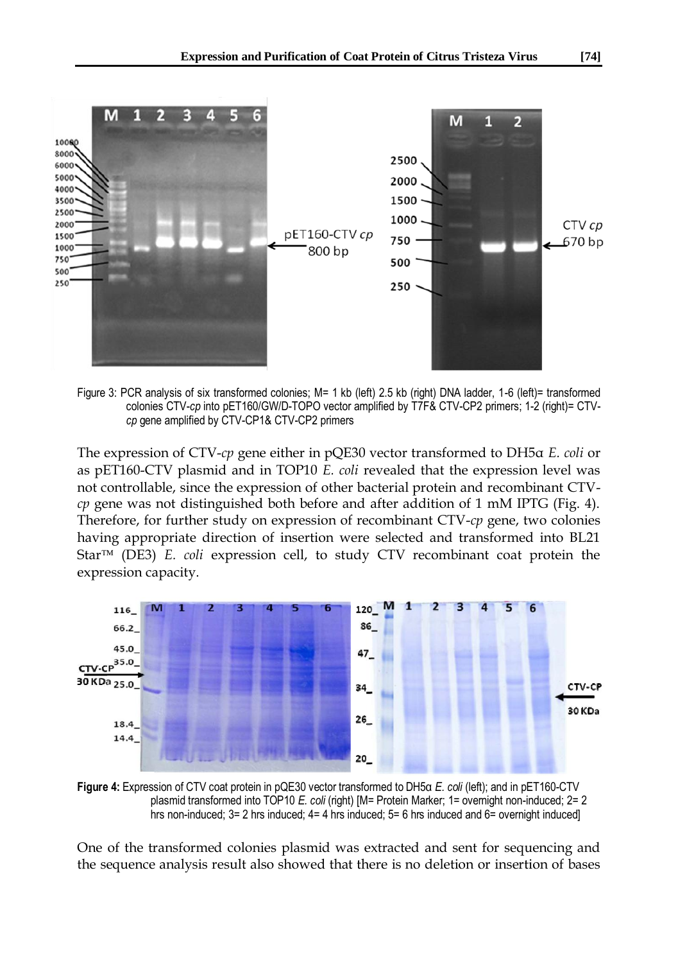

Figure 3: PCR analysis of six transformed colonies; M= 1 kb (left) 2.5 kb (right) DNA ladder, 1-6 (left)= transformed colonies CTV-*cp* into pET160/GW/D-TOPO vector amplified by T7F& CTV-CP2 primers; 1-2 (right)= CTV*cp* gene amplified by CTV-CP1& CTV-CP2 primers

The expression of CTV-*cp* gene either in pQE30 vector transformed to DH5α *E. coli* or as pET160-CTV plasmid and in TOP10 *E. coli* revealed that the expression level was not controllable, since the expression of other bacterial protein and recombinant CTV*cp* gene was not distinguished both before and after addition of 1 mM IPTG (Fig. 4). Therefore, for further study on expression of recombinant CTV-*cp* gene, two colonies having appropriate direction of insertion were selected and transformed into BL21 Star<sup>™</sup> (DE3) *E. coli* expression cell, to study CTV recombinant coat protein the expression capacity.



**Figure 4:** Expression of CTV coat protein in pQE30 vector transformed to DH5α *E. coli* (left); and in pET160-CTV plasmid transformed into TOP10 *E. coli* (right) [M= Protein Marker; 1= overnight non-induced; 2= 2 hrs non-induced; 3= 2 hrs induced; 4= 4 hrs induced; 5= 6 hrs induced and 6= overnight induced]

One of the transformed colonies plasmid was extracted and sent for sequencing and the sequence analysis result also showed that there is no deletion or insertion of bases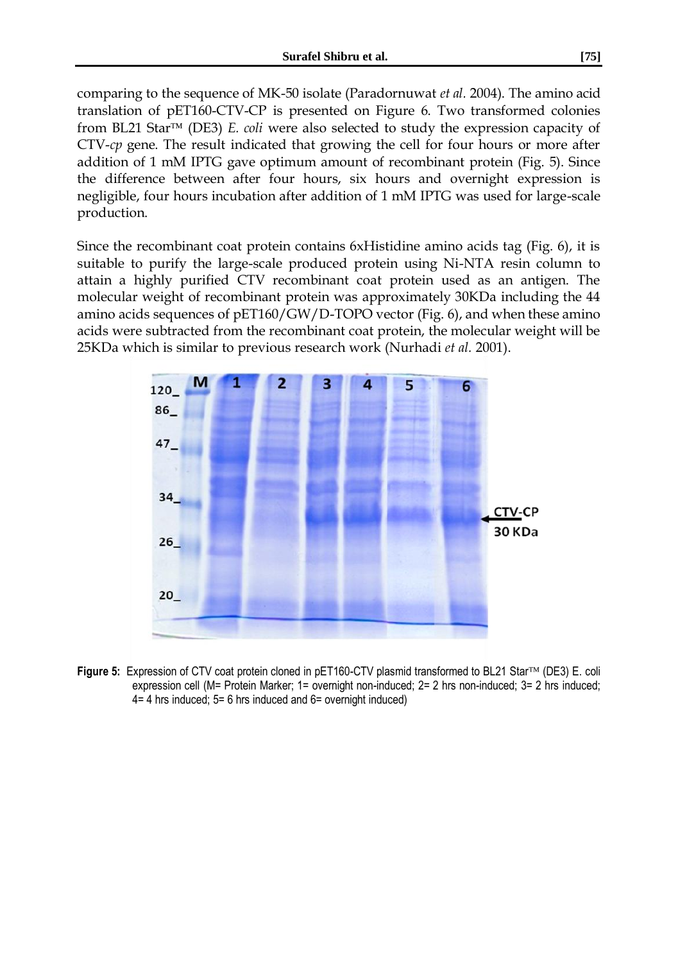comparing to the sequence of MK-50 isolate (Paradornuwat *et al.* 2004). The amino acid translation of pET160-CTV-CP is presented on Figure 6. Two transformed colonies from BL21 Star<sup> $TM$ </sup> (DE3) *E. coli* were also selected to study the expression capacity of CTV-*cp* gene. The result indicated that growing the cell for four hours or more after addition of 1 mM IPTG gave optimum amount of recombinant protein (Fig. 5). Since the difference between after four hours, six hours and overnight expression is negligible, four hours incubation after addition of 1 mM IPTG was used for large-scale production.

Since the recombinant coat protein contains 6xHistidine amino acids tag (Fig. 6), it is suitable to purify the large-scale produced protein using Ni-NTA resin column to attain a highly purified CTV recombinant coat protein used as an antigen. The molecular weight of recombinant protein was approximately 30KDa including the 44 amino acids sequences of pET160/GW/D-TOPO vector (Fig. 6), and when these amino acids were subtracted from the recombinant coat protein, the molecular weight will be 25KDa which is similar to previous research work (Nurhadi *et al.* 2001).



**Figure 5:** Expression of CTV coat protein cloned in pET160-CTV plasmid transformed to BL21 Star™ (DE3) E. coli expression cell (M= Protein Marker; 1= overnight non-induced; 2= 2 hrs non-induced; 3= 2 hrs induced; 4= 4 hrs induced; 5= 6 hrs induced and 6= overnight induced)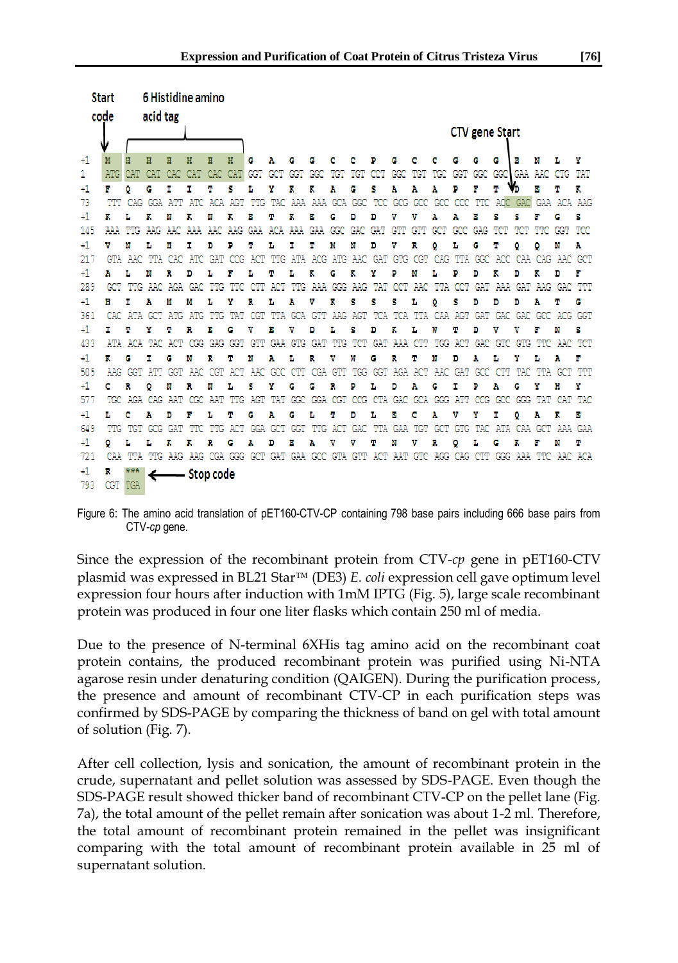| <b>Start</b> |         |                 | 6 Histidine amino |         |                                                                                                 |             |            |                       |         |            |         |    |                 |     |         |                         |                                     |         |     |             |            |            |                                                                     |     |
|--------------|---------|-----------------|-------------------|---------|-------------------------------------------------------------------------------------------------|-------------|------------|-----------------------|---------|------------|---------|----|-----------------|-----|---------|-------------------------|-------------------------------------|---------|-----|-------------|------------|------------|---------------------------------------------------------------------|-----|
| code         |         |                 | acid tag          |         |                                                                                                 |             |            |                       |         |            |         |    |                 |     |         |                         |                                     |         |     |             |            |            |                                                                     |     |
|              |         |                 |                   |         |                                                                                                 |             |            | <b>CTV</b> gene Start |         |            |         |    |                 |     |         |                         |                                     |         |     |             |            |            |                                                                     |     |
|              |         |                 |                   |         |                                                                                                 |             |            |                       |         |            |         |    |                 |     |         |                         |                                     |         |     |             |            |            |                                                                     |     |
| $+1$         |         |                 | Ħ                 | Ħ       | H                                                                                               | Ħ           | H          | G                     | Α       | G          | G       | с  | с               | Ð   | c       | с                       | с                                   | c       |     | c           | в          | W          |                                                                     | Y   |
|              |         | <b>CAT</b>      | CAT.              | CAC     | <b>CAT</b>                                                                                      | CAC         | <b>CAT</b> | <b>GGT</b>            |         |            |         |    |                 |     |         |                         |                                     |         |     |             |            |            | CTG TAT                                                             |     |
| 41           | F       | ٥               | G                 | I       | r                                                                                               | т           | s          | L                     | Y       | ĸ          | ĸ       | Α  | G               | s   | Α       | Α                       | Α                                   | D       | F   | Ψ           |            | в          | т                                                                   | к   |
| 73           | ጥጥ      | CAG             |                   | GGA ATT | ATC.                                                                                            |             | ACA AGT    |                       |         |            |         |    |                 |     |         |                         |                                     |         |     |             |            |            | TTG TAC AAA AAA GCA GGC TCC GCG GCC GCC CCC TTC ACC GAC GAA ACA AAG |     |
| $^{+1}$      | ĸ       |                 | ĸ                 | N       | ĸ                                                                                               | 'N          | ĸ          | Е                     | т       | ĸ          | в       | G  | D               | D   | v       | v                       | Α                                   | Α       | Е   | s           | s          |            | G                                                                   | s   |
| 145          |         |                 |                   |         |                                                                                                 |             |            |                       |         |            |         |    |                 |     | GTT     | GTT GCT                 |                                     |         |     |             |            |            | GCC GAG TCT TCT TTC GGT                                             | TCC |
| $+1$         | v       | 'N              | т.                | н       | т                                                                                               | 'n          | ъ          | m                     | L       | r          | т       | M  | M               | D   | v       | R                       | ٥                                   | L       | G   | Τ           | ٥          | ٥          | N                                                                   | Α   |
| 217          |         |                 |                   |         | GTA AAC TTA CAC ATC GAT                                                                         |             | CCG.       | ACT                   |         |            |         |    |                 |     |         |                         |                                     |         |     |             |            |            | TTG ATA ACG ATG AAC GAT GTG CGT CAG TTA GGC ACC CAA CAG AAC GCT     |     |
| +1           | A       | L               | N                 | R       | D                                                                                               |             |            |                       | т       |            |         | G  |                 |     |         | N                       |                                     | D       | D   |             | D          |            | D                                                                   | F   |
| 289          |         |                 |                   |         | TTG AAC AGA GAC                                                                                 | ጥጥር         |            | CTT                   | ACT     |            |         |    | TTG AAA GGG AAG |     | TAT CCT |                         | AAC TTA CCT                         |         |     |             |            |            | GAT AAA GAT AAG GAC TTT                                             |     |
| $+1$         | н       |                 | Α                 | M       | м                                                                                               | т.          | Y          | R                     | L       | Α          | v       | к  | s               | s   | s       | L                       | ٥                                   | s       | D   | D           | D          | Α          | т                                                                   | G   |
| 361          |         |                 |                   |         | CAC ATA GCT ATG ATG TTG TAT CGT TTA GCA GTT AAG AGT TCA TCA TTA CAA AGT GAT GAC GAC GCC ACG GGT |             |            |                       |         |            |         |    |                 |     |         |                         |                                     |         |     |             |            |            |                                                                     |     |
| 41.          | r       | т               | Y                 |         | R                                                                                               | в           | G          | v                     | в       | v          | D       | т. | s               | D   | ĸ       | т.                      | w                                   | т       | D   | v           | v          | F          | M                                                                   | s   |
| 433          |         | ATA ACA         | TAC               | ACT     |                                                                                                 | CGG GAG GGT |            | GTT                   |         | GAA GTG    | GAT     |    | TTG TCT         | GAT |         | AAA CTT                 |                                     | TGG ACT | GAC | GTC         |            |            | GTG TTC AAC TCT                                                     |     |
| +1.          | ĸ       | G               | т                 | G       | N                                                                                               | R           | т          | 'N                    | Ά       | L          | R       | v  | w               | G   | R       | Τ                       | 'N                                  | D       | Α   |             | Y          | ъ          | Ά                                                                   | F   |
| 505          |         | AAG GGT         |                   |         | ATT GGT AAC CGT ACT                                                                             |             |            |                       | AAC GCC | <b>CTT</b> |         |    |                 |     |         | CGA GTT TGG GGT AGA ACT | AAC GAT                             |         | GCC | CTT         | <b>TAC</b> |            | ጥጥል <i>ር</i> ርጥ                                                     | ጥጥ  |
| +1           | c       |                 | ٥                 | N       | R                                                                                               | N           | L          | s                     | y       | G          | G       |    | D               |     | D       |                         | G                                   |         |     |             | G          |            | H                                                                   | Y   |
| 577          |         | TGC AGA CAG AAT |                   |         |                                                                                                 | CGC AAT TTG |            | AGT                   | TAT     |            |         |    |                 |     |         |                         | GGC GGA CGT CCG CTA GAC GCA GGG ATT |         | CCG | GCC         |            |            | GGG TAT CAT TAC                                                     |     |
| +1           | L       | с               | Α                 | D       | F                                                                                               | т.          | φ          | G                     | Ά       | c          | L       | т  | D               | L   | в       | с                       | Α                                   | v       | Y   | r           | ٥          | Α          | ĸ                                                                   | в   |
| 649          | TTG     | TGT             | GCG               | GAT     | <b>THC</b>                                                                                      | TTG         | ACT        |                       | GGA GCT | GGT        | TTG ACT |    | GAC             |     |         | TTA GAA TGT             | <b>GCT</b>                          |         |     | GTG TAC ATA | CAA        | <b>GCT</b> | AAA GAA                                                             |     |
| $+1$         | ٥       | T.              | т.                | ĸ       | ĸ                                                                                               | R           | G          | Ά                     | D       | в          | Α       | v  | v               | Φ   | N       | v                       | R                                   | ٥       | L   | G           | ĸ          |            | M                                                                   | т   |
| 721          |         |                 |                   |         | CAA TTA TTG AAG AAG CGA GGG GCT GAT GAA GCC GTA GTT ACT AAT GTC AGG CAG CTT GGG AAA TTC AAC ACA |             |            |                       |         |            |         |    |                 |     |         |                         |                                     |         |     |             |            |            |                                                                     |     |
| $+1$         | R       |                 |                   |         | — Stop code                                                                                     |             |            |                       |         |            |         |    |                 |     |         |                         |                                     |         |     |             |            |            |                                                                     |     |
| 793          | CGT TGA |                 |                   |         |                                                                                                 |             |            |                       |         |            |         |    |                 |     |         |                         |                                     |         |     |             |            |            |                                                                     |     |

Figure 6: The amino acid translation of pET160-CTV-CP containing 798 base pairs including 666 base pairs from CTV-*cp* gene.

Since the expression of the recombinant protein from CTV-*cp* gene in pET160-CTV plasmid was expressed in BL21 Star<sup>TM</sup> (DE3) *E. coli* expression cell gave optimum level expression four hours after induction with 1mM IPTG (Fig. 5), large scale recombinant protein was produced in four one liter flasks which contain 250 ml of media.

Due to the presence of N-terminal 6XHis tag amino acid on the recombinant coat protein contains, the produced recombinant protein was purified using Ni-NTA agarose resin under denaturing condition (QAIGEN). During the purification process, the presence and amount of recombinant CTV-CP in each purification steps was confirmed by SDS-PAGE by comparing the thickness of band on gel with total amount of solution (Fig. 7).

After cell collection, lysis and sonication, the amount of recombinant protein in the crude, supernatant and pellet solution was assessed by SDS-PAGE. Even though the SDS-PAGE result showed thicker band of recombinant CTV-CP on the pellet lane (Fig. 7a), the total amount of the pellet remain after sonication was about 1-2 ml. Therefore, the total amount of recombinant protein remained in the pellet was insignificant comparing with the total amount of recombinant protein available in 25 ml of supernatant solution.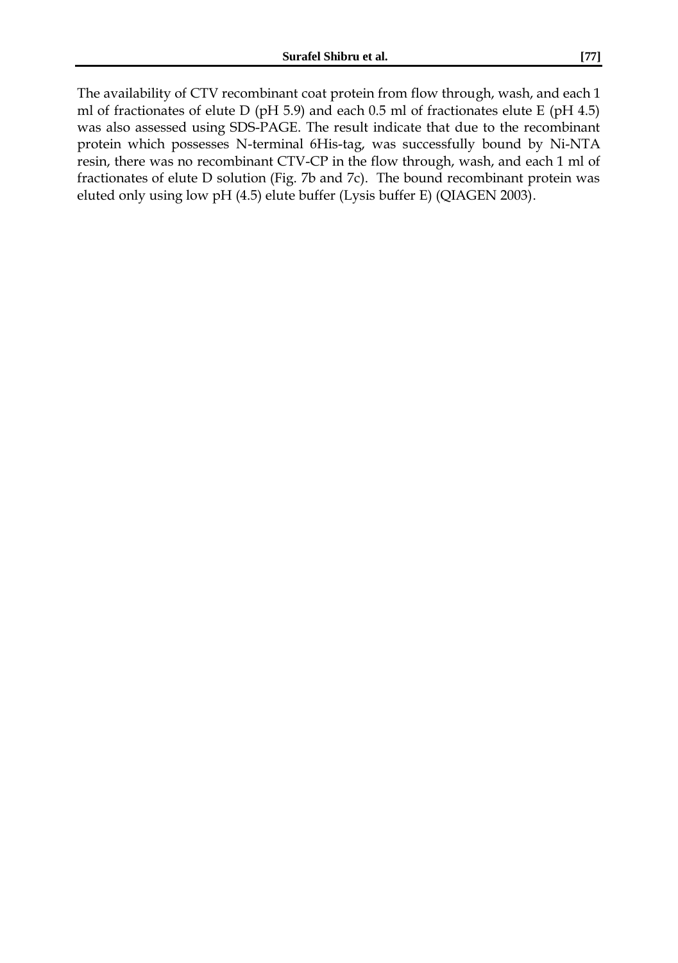The availability of CTV recombinant coat protein from flow through, wash, and each 1 ml of fractionates of elute D (pH 5.9) and each 0.5 ml of fractionates elute E (pH 4.5) was also assessed using SDS-PAGE. The result indicate that due to the recombinant protein which possesses N-terminal 6His-tag, was successfully bound by Ni-NTA resin, there was no recombinant CTV-CP in the flow through, wash, and each 1 ml of fractionates of elute D solution (Fig. 7b and 7c). The bound recombinant protein was eluted only using low pH (4.5) elute buffer (Lysis buffer E) (QIAGEN 2003).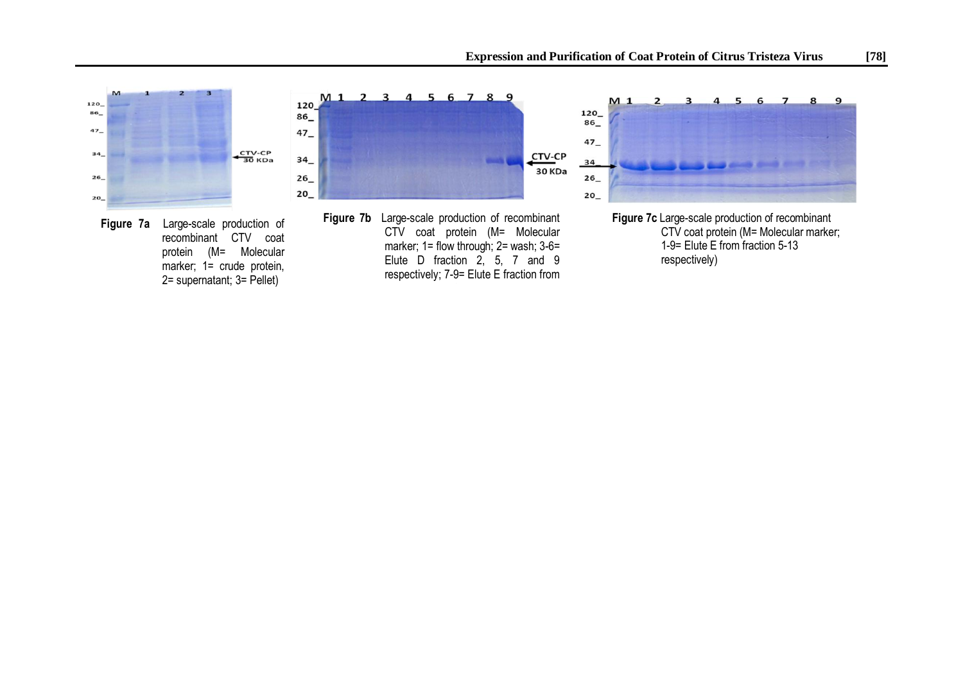





**Figure 7b** Large-scale production of recombinant CTV coat protein (M= Molecular marker; 1= flow through; 2= wash; 3-6= Elute D fraction 2, 5, 7 and 9 respectively; 7-9= Elute E fraction from  $2-4$  respectively) and  $2-4$ 



**Figure 7c** Large-scale production of recombinant CTV coat protein (M= Molecular marker; 1-9= Elute E from fraction 5-13 respectively)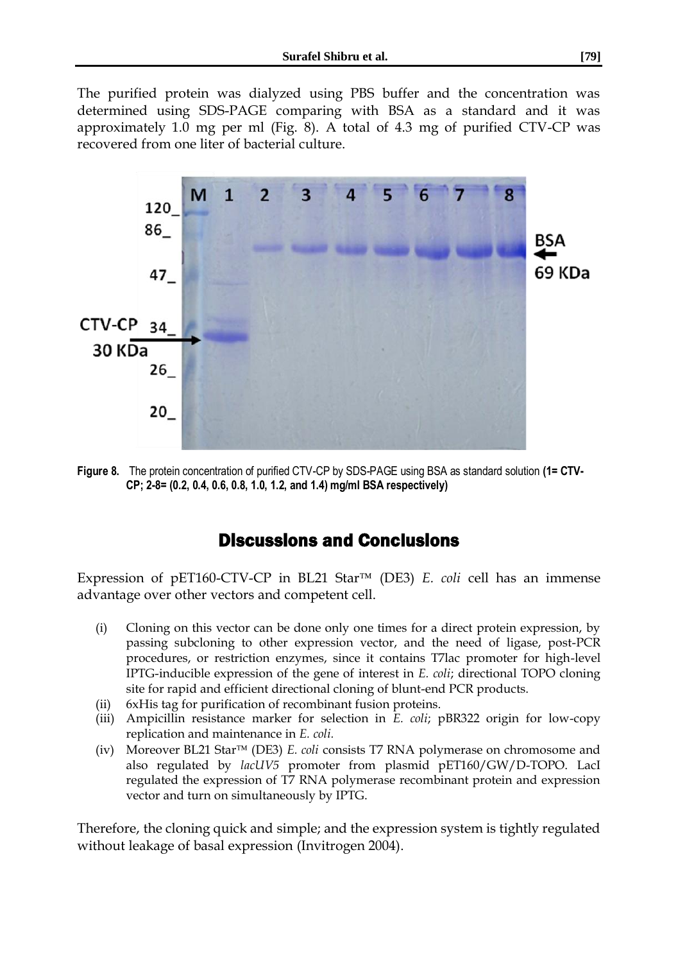The purified protein was dialyzed using PBS buffer and the concentration was determined using SDS-PAGE comparing with BSA as a standard and it was approximately 1.0 mg per ml (Fig. 8). A total of 4.3 mg of purified CTV-CP was recovered from one liter of bacterial culture.



**Figure 8.** The protein concentration of purified CTV-CP by SDS-PAGE using BSA as standard solution **(1= CTV-CP; 2-8= (0.2, 0.4, 0.6, 0.8, 1.0, 1.2, and 1.4) mg/ml BSA respectively)** 

### Discussions and Conclusions

Expression of pET160-CTV-CP in BL21 Star<sup>TM</sup> (DE3) *E. coli* cell has an immense advantage over other vectors and competent cell.

- (i) Cloning on this vector can be done only one times for a direct protein expression, by passing subcloning to other expression vector, and the need of ligase, post-PCR procedures, or restriction enzymes, since it contains T7lac promoter for high-level IPTG-inducible expression of the gene of interest in *E. coli*; directional TOPO cloning site for rapid and efficient directional cloning of blunt-end PCR products.
- (ii) 6xHis tag for purification of recombinant fusion proteins.
- (iii) Ampicillin resistance marker for selection in *E. coli*; pBR322 origin for low-copy replication and maintenance in *E. coli.*
- (iv) Moreover BL21 Star<sup>™</sup> (DE3) *E. coli* consists T7 RNA polymerase on chromosome and also regulated by *lacUV5* promoter from plasmid pET160/GW/D-TOPO. LacI regulated the expression of T7 RNA polymerase recombinant protein and expression vector and turn on simultaneously by IPTG.

Therefore, the cloning quick and simple; and the expression system is tightly regulated without leakage of basal expression (Invitrogen 2004).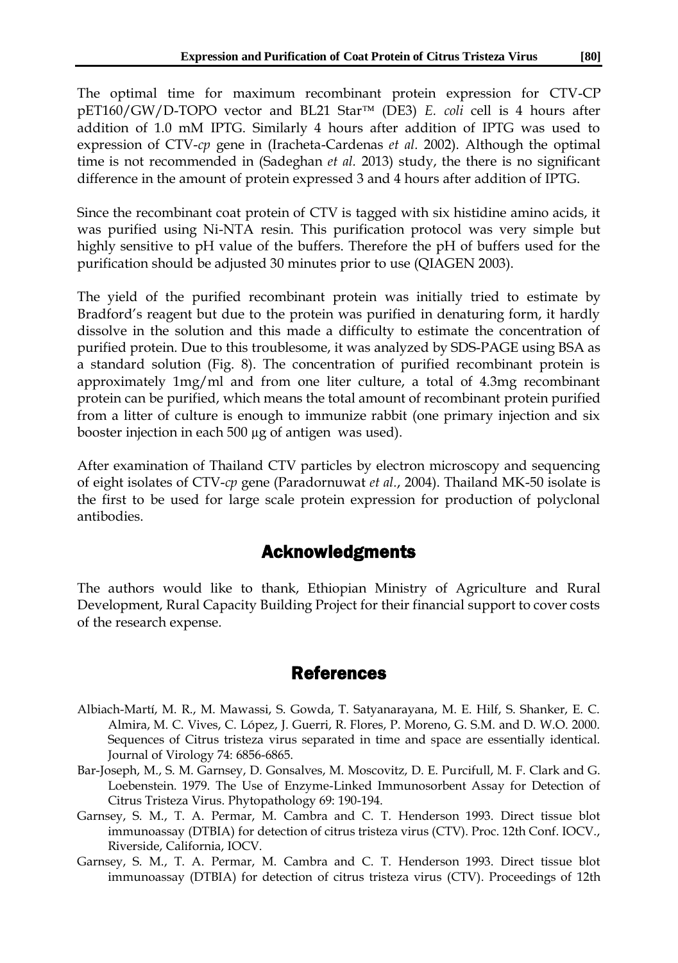The optimal time for maximum recombinant protein expression for CTV-CP pET160/GW/D-TOPO vector and BL21 Star<sup>™</sup> (DE3) *E. coli* cell is 4 hours after addition of 1.0 mM IPTG. Similarly 4 hours after addition of IPTG was used to expression of CTV-*cp* gene in (Iracheta-Cardenas *et al.* 2002). Although the optimal time is not recommended in (Sadeghan *et al.* 2013) study, the there is no significant difference in the amount of protein expressed 3 and 4 hours after addition of IPTG.

Since the recombinant coat protein of CTV is tagged with six histidine amino acids, it was purified using Ni-NTA resin. This purification protocol was very simple but highly sensitive to pH value of the buffers. Therefore the pH of buffers used for the purification should be adjusted 30 minutes prior to use (QIAGEN 2003).

The yield of the purified recombinant protein was initially tried to estimate by Bradford's reagent but due to the protein was purified in denaturing form, it hardly dissolve in the solution and this made a difficulty to estimate the concentration of purified protein. Due to this troublesome, it was analyzed by SDS-PAGE using BSA as a standard solution (Fig. 8). The concentration of purified recombinant protein is approximately 1mg/ml and from one liter culture, a total of 4.3mg recombinant protein can be purified, which means the total amount of recombinant protein purified from a litter of culture is enough to immunize rabbit (one primary injection and six booster injection in each 500 µg of antigen was used).

After examination of Thailand CTV particles by electron microscopy and sequencing of eight isolates of CTV-*cp* gene (Paradornuwat *et al.*, 2004). Thailand MK-50 isolate is the first to be used for large scale protein expression for production of polyclonal antibodies.

### Acknowledgments

The authors would like to thank, Ethiopian Ministry of Agriculture and Rural Development, Rural Capacity Building Project for their financial support to cover costs of the research expense.

#### References

- Albiach-Martí, M. R., M. Mawassi, S. Gowda, T. Satyanarayana, M. E. Hilf, S. Shanker, E. C. Almira, M. C. Vives, C. López, J. Guerri, R. Flores, P. Moreno, G. S.M. and D. W.O. 2000. Sequences of Citrus tristeza virus separated in time and space are essentially identical. Journal of Virology 74: 6856-6865.
- Bar-Joseph, M., S. M. Garnsey, D. Gonsalves, M. Moscovitz, D. E. Purcifull, M. F. Clark and G. Loebenstein. 1979. The Use of Enzyme-Linked Immunosorbent Assay for Detection of Citrus Tristeza Virus. Phytopathology 69: 190-194.
- Garnsey, S. M., T. A. Permar, M. Cambra and C. T. Henderson 1993. Direct tissue blot immunoassay (DTBIA) for detection of citrus tristeza virus (CTV). Proc. 12th Conf. IOCV., Riverside, California, IOCV.
- Garnsey, S. M., T. A. Permar, M. Cambra and C. T. Henderson 1993. Direct tissue blot immunoassay (DTBIA) for detection of citrus tristeza virus (CTV). Proceedings of 12th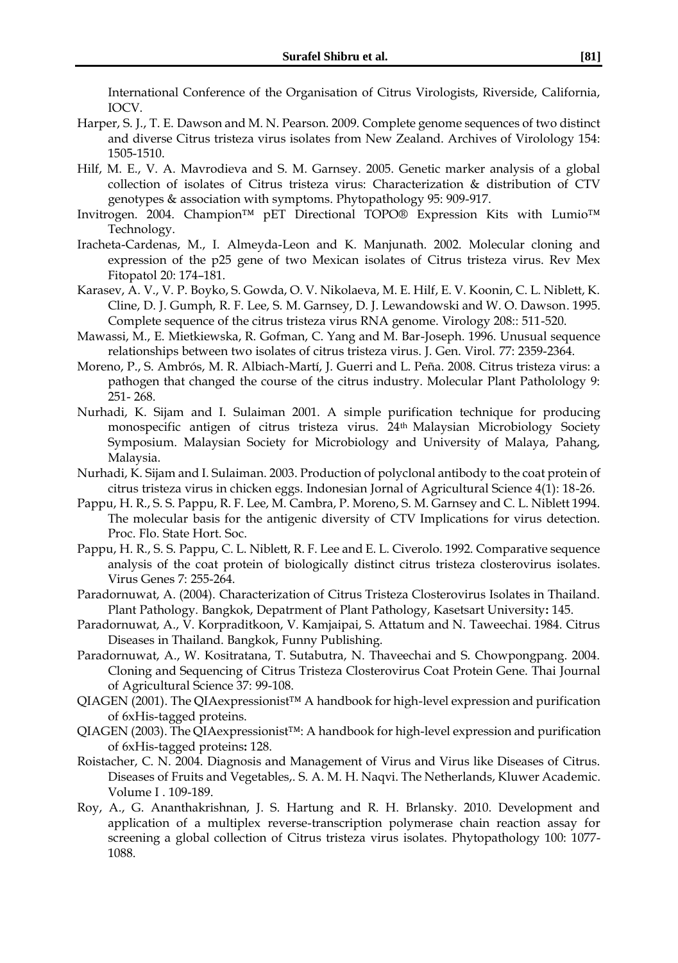International Conference of the Organisation of Citrus Virologists, Riverside, California, IOCV.

- Harper, S. J., T. E. Dawson and M. N. Pearson. 2009. Complete genome sequences of two distinct and diverse Citrus tristeza virus isolates from New Zealand. Archives of Virolology 154: 1505-1510.
- Hilf, M. E., V. A. Mavrodieva and S. M. Garnsey. 2005. Genetic marker analysis of a global collection of isolates of Citrus tristeza virus: Characterization & distribution of CTV genotypes & association with symptoms. Phytopathology 95: 909-917.
- Invitrogen. 2004. Champion™ pET Directional TOPO® Expression Kits with Lumio™ Technology.
- Iracheta-Cardenas, M., I. Almeyda-Leon and K. Manjunath. 2002. Molecular cloning and expression of the p25 gene of two Mexican isolates of Citrus tristeza virus. Rev Mex Fitopatol 20: 174–181.
- Karasev, A. V., V. P. Boyko, S. Gowda, O. V. Nikolaeva, M. E. Hilf, E. V. Koonin, C. L. Niblett, K. Cline, D. J. Gumph, R. F. Lee, S. M. Garnsey, D. J. Lewandowski and W. O. Dawson. 1995. Complete sequence of the citrus tristeza virus RNA genome. Virology 208:: 511-520.
- Mawassi, M., E. Mietkiewska, R. Gofman, C. Yang and M. Bar-Joseph. 1996. Unusual sequence relationships between two isolates of citrus tristeza virus. J. Gen. Virol. 77: 2359-2364.
- Moreno, P., S. Ambrós, M. R. Albiach-Martí, J. Guerri and L. Peña. 2008. Citrus tristeza virus: a pathogen that changed the course of the citrus industry. Molecular Plant Patholology 9: 251- 268.
- Nurhadi, K. Sijam and I. Sulaiman 2001. A simple purification technique for producing monospecific antigen of citrus tristeza virus. 24th Malaysian Microbiology Society Symposium. Malaysian Society for Microbiology and University of Malaya, Pahang, Malaysia.
- Nurhadi, K. Sijam and I. Sulaiman. 2003. Production of polyclonal antibody to the coat protein of citrus tristeza virus in chicken eggs. Indonesian Jornal of Agricultural Science 4(1): 18-26.
- Pappu, H. R., S. S. Pappu, R. F. Lee, M. Cambra, P. Moreno, S. M. Garnsey and C. L. Niblett 1994. The molecular basis for the antigenic diversity of CTV Implications for virus detection. Proc. Flo. State Hort. Soc.
- Pappu, H. R., S. S. Pappu, C. L. Niblett, R. F. Lee and E. L. Civerolo. 1992. Comparative sequence analysis of the coat protein of biologically distinct citrus tristeza closterovirus isolates. Virus Genes 7: 255-264.
- Paradornuwat, A. (2004). Characterization of Citrus Tristeza Closterovirus Isolates in Thailand. Plant Pathology. Bangkok, Depatrment of Plant Pathology, Kasetsart University**:** 145.
- Paradornuwat, A., V. Korpraditkoon, V. Kamjaipai, S. Attatum and N. Taweechai. 1984. Citrus Diseases in Thailand. Bangkok, Funny Publishing.
- Paradornuwat, A., W. Kositratana, T. Sutabutra, N. Thaveechai and S. Chowpongpang. 2004. Cloning and Sequencing of Citrus Tristeza Closterovirus Coat Protein Gene. Thai Journal of Agricultural Science 37: 99-108.
- QIAGEN (2001). The QIAexpressionist™ A handbook for high-level expression and purification of 6xHis-tagged proteins.
- QIAGEN (2003). The QIAexpressionist™: A handbook for high-level expression and purification of 6xHis-tagged proteins**:** 128.
- Roistacher, C. N. 2004. Diagnosis and Management of Virus and Virus like Diseases of Citrus. Diseases of Fruits and Vegetables,. S. A. M. H. Naqvi. The Netherlands, Kluwer Academic. Volume I . 109-189.
- Roy, A., G. Ananthakrishnan, J. S. Hartung and R. H. Brlansky. 2010. Development and application of a multiplex reverse-transcription polymerase chain reaction assay for screening a global collection of Citrus tristeza virus isolates. Phytopathology 100: 1077- 1088.